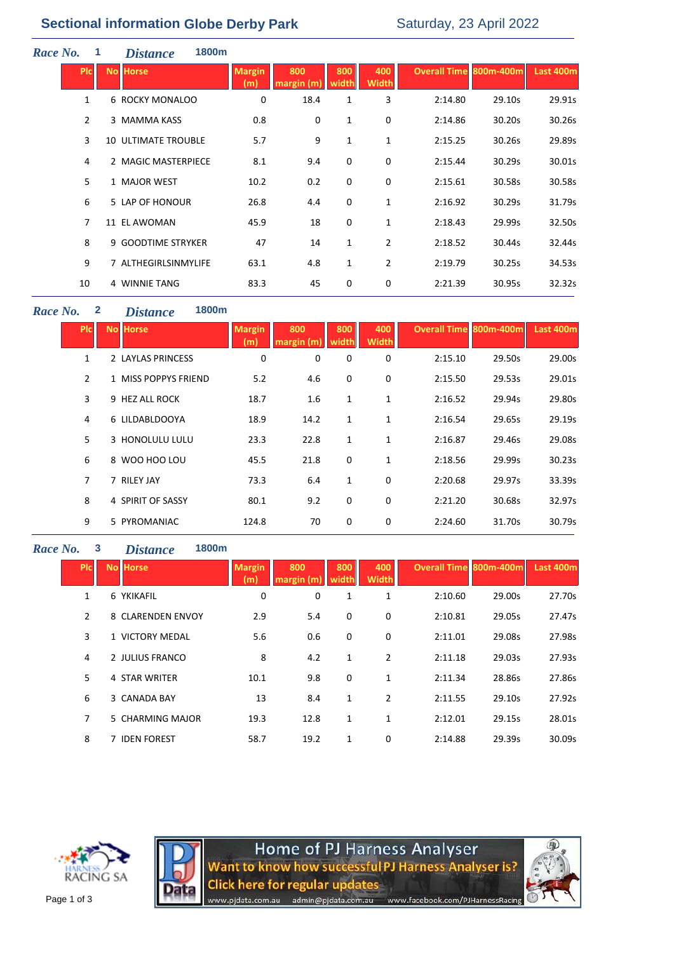## **Sectional information Globe Derby Park** Saturday, 23 April 2022

| Race No. |                | 1. | <i>Distance</i>            | 1800 <sub>m</sub> |                      |                   |              |                     |                               |        |           |
|----------|----------------|----|----------------------------|-------------------|----------------------|-------------------|--------------|---------------------|-------------------------------|--------|-----------|
|          | <b>PIC</b>     |    | <b>No Horse</b>            |                   | <b>Margin</b><br>(m) | 800<br>margin (m) | 800<br>width | 400<br><b>Width</b> | <b>Overall Time 800m-400m</b> |        | Last 400m |
|          | $\mathbf{1}$   |    | 6 ROCKY MONALOO            |                   | 0                    | 18.4              | 1            | 3                   | 2:14.80                       | 29.10s | 29.91s    |
|          | $\overline{2}$ |    | 3 MAMMA KASS               |                   | 0.8                  | 0                 | 1            | 0                   | 2:14.86                       | 30.20s | 30.26s    |
|          | 3              |    | <b>10 ULTIMATE TROUBLE</b> |                   | 5.7                  | 9                 | 1            | $\mathbf{1}$        | 2:15.25                       | 30.26s | 29.89s    |
|          | 4              |    | 2 MAGIC MASTERPIECE        |                   | 8.1                  | 9.4               | 0            | 0                   | 2:15.44                       | 30.29s | 30.01s    |
|          | 5              |    | 1 MAJOR WEST               |                   | 10.2                 | 0.2               | 0            | $\mathbf 0$         | 2:15.61                       | 30.58s | 30.58s    |
|          | 6              |    | 5 LAP OF HONOUR            |                   | 26.8                 | 4.4               | 0            | 1                   | 2:16.92                       | 30.29s | 31.79s    |
|          | $\overline{7}$ |    | 11 EL AWOMAN               |                   | 45.9                 | 18                | 0            | $\mathbf{1}$        | 2:18.43                       | 29.99s | 32.50s    |
|          | 8              |    | 9 GOODTIME STRYKER         |                   | 47                   | 14                | 1            | $\overline{2}$      | 2:18.52                       | 30.44s | 32.44s    |
|          | 9              |    | 7 ALTHEGIRLSINMYLIFE       |                   | 63.1                 | 4.8               | $\mathbf{1}$ | $\overline{2}$      | 2:19.79                       | 30.25s | 34.53s    |
|          | 10             |    | 4 WINNIE TANG              |                   | 83.3                 | 45                | 0            | 0                   | 2:21.39                       | 30.95s | 32.32s    |

## *Race No.* **2** *Distance* **1800m**

| <b>PIc</b> | <b>No Horse</b>      | <b>Margin</b><br>(m) | 800<br>margin (m | 800<br>width | 400<br><b>Width</b> | <b>Overall Time 800m-400m</b> |        | Last 400m |
|------------|----------------------|----------------------|------------------|--------------|---------------------|-------------------------------|--------|-----------|
| 1          | 2 LAYLAS PRINCESS    | 0                    | 0                | 0            | 0                   | 2:15.10                       | 29.50s | 29.00s    |
| 2          | 1 MISS POPPYS FRIEND | 5.2                  | 4.6              | $\mathbf 0$  | 0                   | 2:15.50                       | 29.53s | 29.01s    |
| 3          | 9 HEZ ALL ROCK       | 18.7                 | 1.6              | 1            | 1                   | 2:16.52                       | 29.94s | 29.80s    |
| 4          | 6 LILDABLDOOYA       | 18.9                 | 14.2             | 1            | 1                   | 2:16.54                       | 29.65s | 29.19s    |
| 5          | 3 HONOLULU LULU      | 23.3                 | 22.8             | 1            | $\mathbf{1}$        | 2:16.87                       | 29.46s | 29.08s    |
| 6          | 8 WOO HOO LOU        | 45.5                 | 21.8             | 0            | 1                   | 2:18.56                       | 29.99s | 30.23s    |
| 7          | 7 RILEY JAY          | 73.3                 | 6.4              | 1            | 0                   | 2:20.68                       | 29.97s | 33.39s    |
| 8          | 4 SPIRIT OF SASSY    | 80.1                 | 9.2              | 0            | 0                   | 2:21.20                       | 30.68s | 32.97s    |
| 9          | 5 PYROMANIAC         | 124.8                | 70               | 0            | 0                   | 2:24.60                       | 31.70s | 30.79s    |

#### **Race No. 3 Distance**

| ce |  |  | 1800m |  |
|----|--|--|-------|--|
|    |  |  |       |  |

| <b>PIc</b> | <b>No Horse</b>   | <b>Margin</b><br>(m) | 800<br>margin (m) | 800<br>width | 400<br><b>Width</b> | Overall Time 800m-400m |        | Last 400m |
|------------|-------------------|----------------------|-------------------|--------------|---------------------|------------------------|--------|-----------|
| 1          | 6 YKIKAFIL        | 0                    | 0                 | 1            | 1                   | 2:10.60                | 29.00s | 27.70s    |
| 2          | 8 CLARENDEN ENVOY | 2.9                  | 5.4               | 0            | 0                   | 2:10.81                | 29.05s | 27.47s    |
| 3          | 1 VICTORY MEDAL   | 5.6                  | 0.6               | 0            | 0                   | 2:11.01                | 29.08s | 27.98s    |
| 4          | 2 JULIUS FRANCO   | 8                    | 4.2               | $\mathbf{1}$ | 2                   | 2:11.18                | 29.03s | 27.93s    |
| 5          | 4 STAR WRITER     | 10.1                 | 9.8               | $\Omega$     | $\mathbf{1}$        | 2:11.34                | 28.86s | 27.86s    |
| 6          | 3 CANADA BAY      | 13                   | 8.4               | $\mathbf{1}$ | $\overline{2}$      | 2:11.55                | 29.10s | 27.92s    |
| 7          | 5 CHARMING MAJOR  | 19.3                 | 12.8              | $\mathbf{1}$ | 1                   | 2:12.01                | 29.15s | 28.01s    |
| 8          | 7 IDEN FOREST     | 58.7                 | 19.2              | 1            | 0                   | 2:14.88                | 29.39s | 30.09s    |





Home of PJ Harness Analyser<br>Want to know how successful PJ Harness Analyser is? **Click here for regular updates** admin@pjdata.com.au www.facebook.com/PJHarnessRacing www.pjdata.com.au

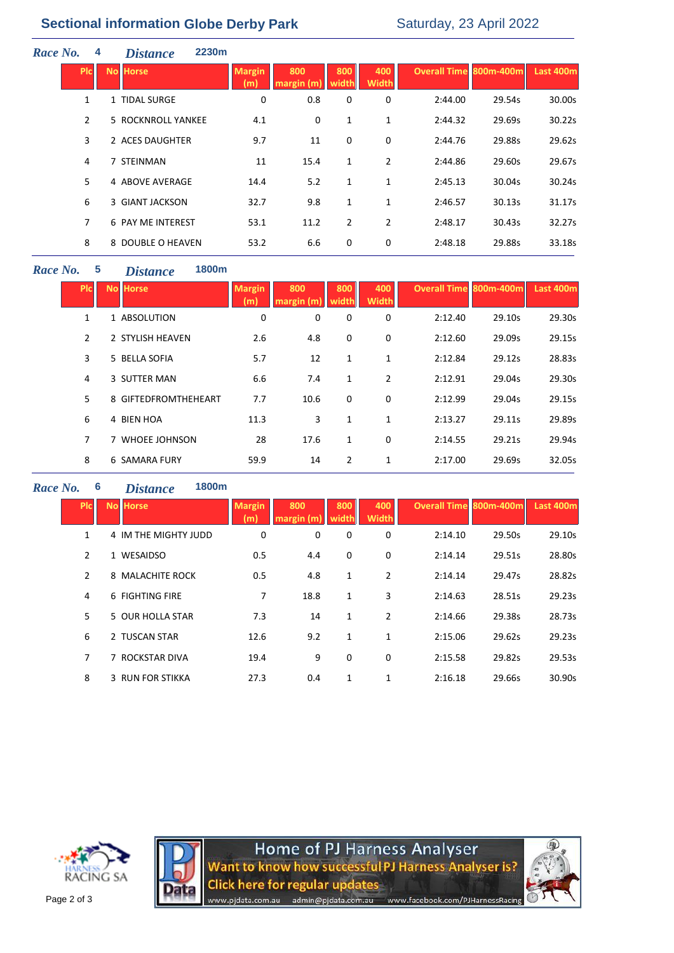# **Sectional information Globe Derby Park** Saturday, 23 April 2022

| Race No. |                | 4 | <b>Distance</b>    | 2230m |                      |                   |                |                     |                               |        |           |
|----------|----------------|---|--------------------|-------|----------------------|-------------------|----------------|---------------------|-------------------------------|--------|-----------|
|          | <b>PIC</b>     |   | <b>No Horse</b>    |       | <b>Margin</b><br>(m) | 800<br>margin (m) | 800<br>width   | 400<br><b>Width</b> | <b>Overall Time 800m-400m</b> |        | Last 400m |
|          | 1              |   | 1 TIDAL SURGE      |       | 0                    | 0.8               | 0              | 0                   | 2:44.00                       | 29.54s | 30.00s    |
|          | $\overline{2}$ |   | 5 ROCKNROLL YANKEE |       | 4.1                  | 0                 | 1              | 1                   | 2:44.32                       | 29.69s | 30.22s    |
|          | 3              |   | 2 ACES DAUGHTER    |       | 9.7                  | 11                | 0              | 0                   | 2:44.76                       | 29.88s | 29.62s    |
|          | 4              |   | 7 STEINMAN         |       | 11                   | 15.4              | 1              | $\overline{2}$      | 2:44.86                       | 29.60s | 29.67s    |
|          | 5              |   | 4 ABOVE AVERAGE    |       | 14.4                 | 5.2               | $\mathbf{1}$   | 1                   | 2:45.13                       | 30.04s | 30.24s    |
|          | 6              |   | 3 GIANT JACKSON    |       | 32.7                 | 9.8               | $\mathbf{1}$   | 1                   | 2:46.57                       | 30.13s | 31.17s    |
|          | 7              |   | 6 PAY ME INTEREST  |       | 53.1                 | 11.2              | $\overline{2}$ | $\overline{2}$      | 2:48.17                       | 30.43s | 32.27s    |
|          | 8              |   | 8 DOUBLE O HEAVEN  |       | 53.2                 | 6.6               | 0              | 0                   | 2:48.18                       | 29.88s | 33.18s    |
|          |                |   |                    |       |                      |                   |                |                     |                               |        |           |

## *Race No.* **5** *Distance* **1800m**

| <b>PIC</b> |   | <b>No Horse</b>      | <b>Margin</b> | 800<br>margin (m) | 800<br>width | 400<br><b>Width</b> | <b>Overall Time 800m-400m</b> |        | Last 400m |  |  |
|------------|---|----------------------|---------------|-------------------|--------------|---------------------|-------------------------------|--------|-----------|--|--|
| 1          |   | 1 ABSOLUTION         | 0             | 0                 | 0            | 0                   | 2:12.40                       | 29.10s | 29.30s    |  |  |
| 2          |   | 2 STYLISH HEAVEN     | 2.6           | 4.8               | 0            | 0                   | 2:12.60                       | 29.09s | 29.15s    |  |  |
| 3          |   | 5 BELLA SOFIA        | 5.7           | 12                | 1            | 1                   | 2:12.84                       | 29.12s | 28.83s    |  |  |
| 4          |   | 3 SUTTER MAN         | 6.6           | 7.4               | $\mathbf{1}$ | 2                   | 2:12.91                       | 29.04s | 29.30s    |  |  |
| 5          |   | 8 GIFTEDFROMTHEHEART | 7.7           | 10.6              | 0            | 0                   | 2:12.99                       | 29.04s | 29.15s    |  |  |
| 6          |   | 4 BIEN HOA           | 11.3          | 3                 | 1            | 1                   | 2:13.27                       | 29.11s | 29.89s    |  |  |
| 7          | 7 | <b>WHOEE JOHNSON</b> | 28            | 17.6              | $\mathbf{1}$ | 0                   | 2:14.55                       | 29.21s | 29.94s    |  |  |
| 8          |   | <b>6 SAMARA FURY</b> | 59.9          | 14                | 2            | 1                   | 2:17.00                       | 29.69s | 32.05s    |  |  |
|            |   |                      |               |                   |              |                     |                               |        |           |  |  |

### *Race No.* **6** *Distance* **1800m**

| <b>PIC</b>     | <b>No Horse</b>      | <b>Margin</b><br>m | 800<br>margin(m) | 800<br>width | 400<br><b>Width</b> | <b>Overall Time 800m-400m</b> |        | Last 400m |
|----------------|----------------------|--------------------|------------------|--------------|---------------------|-------------------------------|--------|-----------|
| 1              | 4 IM THE MIGHTY JUDD | 0                  | 0                | 0            | 0                   | 2:14.10                       | 29.50s | 29.10s    |
| 2              | 1 WESAIDSO           | 0.5                | 4.4              | 0            | $\mathbf 0$         | 2:14.14                       | 29.51s | 28.80s    |
| $\overline{2}$ | 8 MALACHITE ROCK     | 0.5                | 4.8              | 1            | $\overline{2}$      | 2:14.14                       | 29.47s | 28.82s    |
| 4              | 6 FIGHTING FIRE      | 7                  | 18.8             | 1            | 3                   | 2:14.63                       | 28.51s | 29.23s    |
| 5              | 5 OUR HOLLA STAR     | 7.3                | 14               | 1            | 2                   | 2:14.66                       | 29.38s | 28.73s    |
| 6              | 2 TUSCAN STAR        | 12.6               | 9.2              | 1            | $\mathbf{1}$        | 2:15.06                       | 29.62s | 29.23s    |
| 7              | 7 ROCKSTAR DIVA      | 19.4               | 9                | 0            | 0                   | 2:15.58                       | 29.82s | 29.53s    |
| 8              | 3 RUN FOR STIKKA     | 27.3               | 0.4              | 1            | 1                   | 2:16.18                       | 29.66s | 30.90s    |





Home of PJ Harness Analyser<br>Want to know how successful PJ Harness Analyser is? **Click here for regular updates** www.pjdata.com.au admin@pjdata.com.au www.facebook.com/PJHarnessRacing